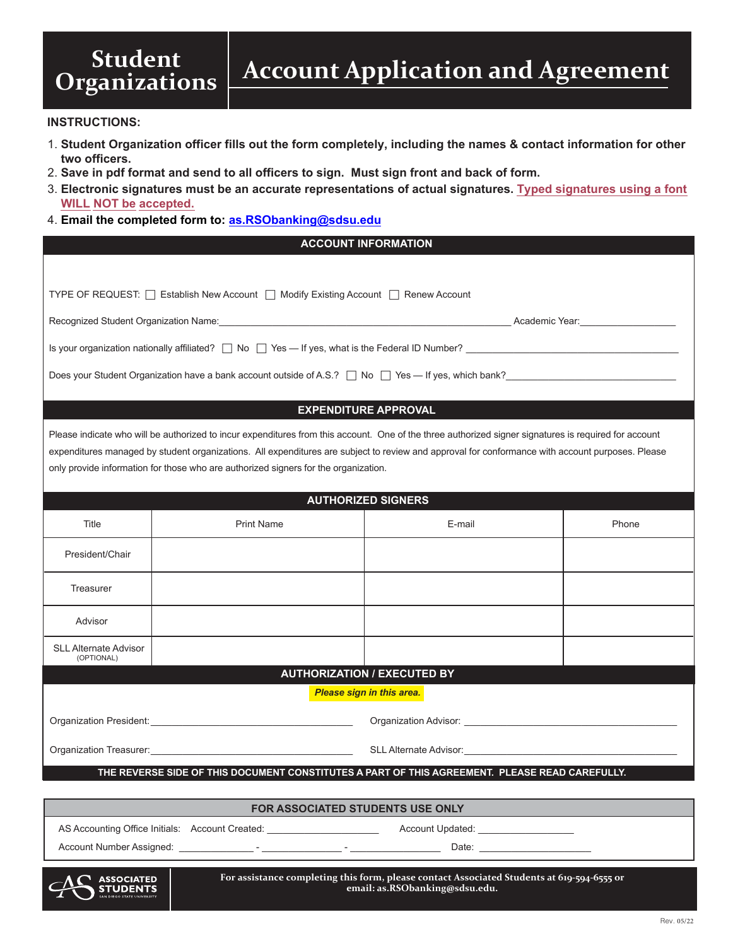# **Student**<br>Organizations

## **INSTRUCTIONS:**

- 1. **Student Organization officer fills out the form completely, including the names & contact information for other two officers.**
- 2. **Save in pdf format and send to all officers to sign. Must sign front and back of form.**
- 3. **Electronic signatures must be an accurate representations of actual signatures. Typed signatures using a font WILL NOT be accepted.**
- 4. **Email the completed form to: as.RSObanking@sdsu.edu**

# **ACCOUNT INFORMATION**

| TYPE OF REQUEST: □ Establish New Account □ Modify Existing Account □ Renew Account                                                                                                                                                                                                                                                                                                               |                   |        |       |  |
|--------------------------------------------------------------------------------------------------------------------------------------------------------------------------------------------------------------------------------------------------------------------------------------------------------------------------------------------------------------------------------------------------|-------------------|--------|-------|--|
|                                                                                                                                                                                                                                                                                                                                                                                                  |                   |        |       |  |
|                                                                                                                                                                                                                                                                                                                                                                                                  |                   |        |       |  |
| Does your Student Organization have a bank account outside of A.S.? $\Box$ No $\Box$ Yes — If yes, which bank?                                                                                                                                                                                                                                                                                   |                   |        |       |  |
| <b>EXPENDITURE APPROVAL</b>                                                                                                                                                                                                                                                                                                                                                                      |                   |        |       |  |
| Please indicate who will be authorized to incur expenditures from this account. One of the three authorized signer signatures is required for account<br>expenditures managed by student organizations. All expenditures are subject to review and approval for conformance with account purposes. Please<br>only provide information for those who are authorized signers for the organization. |                   |        |       |  |
| <b>AUTHORIZED SIGNERS</b>                                                                                                                                                                                                                                                                                                                                                                        |                   |        |       |  |
| Title                                                                                                                                                                                                                                                                                                                                                                                            | <b>Print Name</b> | E-mail | Phone |  |
| President/Chair                                                                                                                                                                                                                                                                                                                                                                                  |                   |        |       |  |
| Treasurer                                                                                                                                                                                                                                                                                                                                                                                        |                   |        |       |  |
| Advisor                                                                                                                                                                                                                                                                                                                                                                                          |                   |        |       |  |
| <b>SLL Alternate Advisor</b><br>(OPTIONAL)                                                                                                                                                                                                                                                                                                                                                       |                   |        |       |  |
| <b>AUTHORIZATION / EXECUTED BY</b>                                                                                                                                                                                                                                                                                                                                                               |                   |        |       |  |
| <b>Please sign in this area.</b>                                                                                                                                                                                                                                                                                                                                                                 |                   |        |       |  |
|                                                                                                                                                                                                                                                                                                                                                                                                  |                   |        |       |  |
| Organization Treasurer:<br>Service School School School School School School School School School School School School School School School School School School School School School School School School School School School<br>SLL Alternate Advisor: New York SLL Alternate Advisor:                                                                                                        |                   |        |       |  |
| THE REVERSE SIDE OF THIS DOCUMENT CONSTITUTES A PART OF THIS AGREEMENT. PLEASE READ CAREFULLY.                                                                                                                                                                                                                                                                                                   |                   |        |       |  |
| <b>FOR ASSOCIATED STUDENTS USE ONLY</b>                                                                                                                                                                                                                                                                                                                                                          |                   |        |       |  |

AS Accounting Office Initials: Account Created: \_\_\_\_\_\_\_\_\_\_\_\_\_\_\_\_\_\_\_\_\_\_\_\_\_\_ Account Updated:

Account Number Assigned: \_\_\_\_\_\_\_\_\_\_\_\_\_\_ - \_\_\_\_\_\_\_\_\_\_\_\_\_\_\_ - \_\_\_\_\_\_\_\_\_\_\_\_\_\_\_\_\_ Date: \_\_\_\_\_\_\_\_\_\_\_\_\_\_\_\_\_\_\_\_\_

**ASSOCIATED STUDENTS**  **For assistance completing this form, please contact Associated Students at 619-594-6555 or email: as.RSObanking@sdsu.edu.**